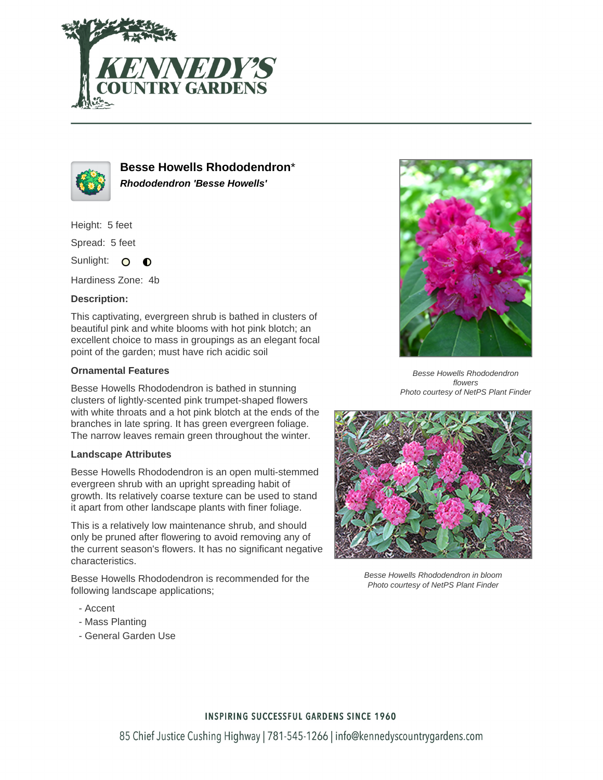



**Besse Howells Rhododendron**\* **Rhododendron 'Besse Howells'**

Height: 5 feet

Spread: 5 feet

Sunlight: O  $\bullet$ 

Hardiness Zone: 4b

## **Description:**

This captivating, evergreen shrub is bathed in clusters of beautiful pink and white blooms with hot pink blotch; an excellent choice to mass in groupings as an elegant focal point of the garden; must have rich acidic soil

## **Ornamental Features**

Besse Howells Rhododendron is bathed in stunning clusters of lightly-scented pink trumpet-shaped flowers with white throats and a hot pink blotch at the ends of the branches in late spring. It has green evergreen foliage. The narrow leaves remain green throughout the winter.

## **Landscape Attributes**

Besse Howells Rhododendron is an open multi-stemmed evergreen shrub with an upright spreading habit of growth. Its relatively coarse texture can be used to stand it apart from other landscape plants with finer foliage.

This is a relatively low maintenance shrub, and should only be pruned after flowering to avoid removing any of the current season's flowers. It has no significant negative characteristics.

Besse Howells Rhododendron is recommended for the following landscape applications;

- Accent
- Mass Planting
- General Garden Use



Besse Howells Rhododendron flowers Photo courtesy of NetPS Plant Finder



Besse Howells Rhododendron in bloom Photo courtesy of NetPS Plant Finder